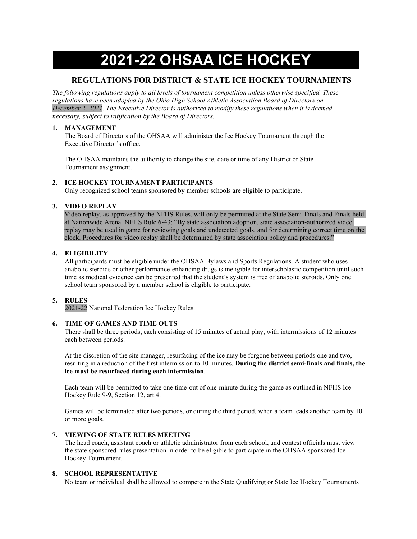# 2021-22 OHSAA ICE HOCKEY

# REGULATIONS FOR DISTRICT & STATE ICE HOCKEY TOURNAMENTS

The following regulations apply to all levels of tournament competition unless otherwise specified. These regulations have been adopted by the Ohio High School Athletic Association Board of Directors on December 2, 2021. The Executive Director is authorized to modify these regulations when it is deemed necessary, subject to ratification by the Board of Directors.

## 1. MANAGEMENT

The Board of Directors of the OHSAA will administer the Ice Hockey Tournament through the Executive Director's office.

The OHSAA maintains the authority to change the site, date or time of any District or State Tournament assignment.

## 2. ICE HOCKEY TOURNAMENT PARTICIPANTS

Only recognized school teams sponsored by member schools are eligible to participate.

## 3. VIDEO REPLAY

Video replay, as approved by the NFHS Rules, will only be permitted at the State Semi-Finals and Finals held at Nationwide Arena. NFHS Rule 6-43: "By state association adoption, state association-authorized video replay may be used in game for reviewing goals and undetected goals, and for determining correct time on the clock. Procedures for video replay shall be determined by state association policy and procedures."

## 4. ELIGIBILITY

All participants must be eligible under the OHSAA Bylaws and Sports Regulations. A student who uses anabolic steroids or other performance-enhancing drugs is ineligible for interscholastic competition until such time as medical evidence can be presented that the student's system is free of anabolic steroids. Only one school team sponsored by a member school is eligible to participate.

## 5. RULES

2021-22 National Federation Ice Hockey Rules.

## 6. TIME OF GAMES AND TIME OUTS

There shall be three periods, each consisting of 15 minutes of actual play, with intermissions of 12 minutes each between periods.

At the discretion of the site manager, resurfacing of the ice may be forgone between periods one and two, resulting in a reduction of the first intermission to 10 minutes. During the district semi-finals and finals, the ice must be resurfaced during each intermission.

Each team will be permitted to take one time-out of one-minute during the game as outlined in NFHS Ice Hockey Rule 9-9, Section 12, art.4.

Games will be terminated after two periods, or during the third period, when a team leads another team by 10 or more goals.

## 7. VIEWING OF STATE RULES MEETING

The head coach, assistant coach or athletic administrator from each school, and contest officials must view the state sponsored rules presentation in order to be eligible to participate in the OHSAA sponsored Ice Hockey Tournament.

## 8. SCHOOL REPRESENTATIVE

No team or individual shall be allowed to compete in the State Qualifying or State Ice Hockey Tournaments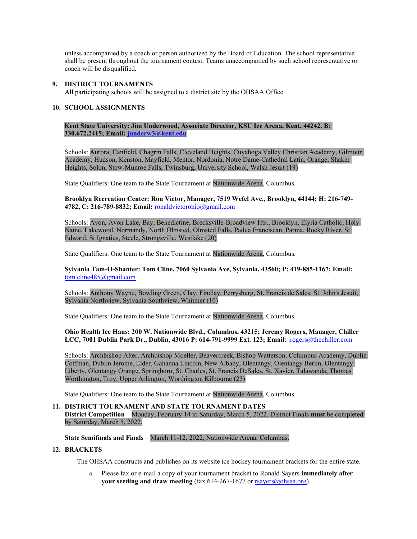unless accompanied by a coach or person authorized by the Board of Education. The school representative shall be present throughout the tournament contest. Teams unaccompanied by such school representative or coach will be disqualified.

### 9. DISTRICT TOURNAMENTS

All participating schools will be assigned to a district site by the OHSAA Office

#### 10. SCHOOL ASSIGNMENTS

Kent State University: Jim Underwood, Associate Director, KSU Ice Arena, Kent, 44242. B: 330.672.2415; Email: junderw3@kent.edu

Schools: Aurora, Canfield, Chagrin Falls, Cleveland Heights, Cuyahoga Valley Christian Academy, Gilmour Academy, Hudson, Kenston, Mayfield, Mentor, Nordonia, Notre Dame-Cathedral Latin, Orange, Shaker Heights, Solon, Stow-Munroe Falls, Twinsburg, University School, Walsh Jesuit (19)

State Qualifiers: One team to the State Tournament at Nationwide Arena, Columbus.

Brooklyn Recreation Center: Ron Victor, Manager, 7519 Wefel Ave., Brooklyn, 44144; H: 216-749- 4782, C: 216-789-8832; Email: ronaldvictorohio@gmail.com

Schools: Avon, Avon Lake, Bay, Benedictine, Brecksville-Broadview Hts., Brooklyn, Elyria Catholic, Holy Name, Lakewood, Normandy, North Olmsted, Olmsted Falls, Padua Franciscan, Parma, Rocky River, St Edward, St Ignatius, Steele, Strongsville, Westlake (20)

State Qualifiers: One team to the State Tournament at Nationwide Arena, Columbus.

Sylvania Tam-O-Shanter: Tom Cline, 7060 Sylvania Ave, Sylvania, 43560; P: 419-885-1167; Email: tom.cline485@gmail.com

Schools: Anthony Wayne, Bowling Green, Clay, Findlay, Perrysburg, St. Francis de Sales, St. John's Jesuit, Sylvania Northview, Sylvania Southview, Whitmer (10)

State Qualifiers: One team to the State Tournament at Nationwide Arena, Columbus.

Ohio Health Ice Haus: 200 W. Nationwide Blvd., Columbus, 43215; Jeremy Rogers, Manager, Chiller LCC, 7001 Dublin Park Dr., Dublin, 43016 P: 614-791-9999 Ext. 123; Email: jrogers@thechiller.com

Schools: Archbishop Alter, Archbishop Moeller, Beavercreek, Bishop Watterson, Columbus Academy, Dublin Coffman, Dublin Jerome, Elder, Gahanna Lincoln, New Albany, Olentangy, Olentangy Berlin, Olentangy Liberty, Olentangy Orange, Springboro, St. Charles, St. Francis DeSales, St. Xavier, Talawanda, Thomas Worthington, Troy, Upper Arlington, Worthington Kilbourne (23)

State Qualifiers: One team to the State Tournament at Nationwide Arena, Columbus.

#### 11. DISTRICT TOURNAMENT AND STATE TOURNAMENT DATES

District Competition – Monday, February 14 to Saturday, March 5, 2022. District Finals must be completed by Saturday, March 5, 2022.

#### State Semifinals and Finals – March 11-12, 2022, Nationwide Arena, Columbus.

## 12. BRACKETS

The OHSAA constructs and publishes on its website ice hockey tournament brackets for the entire state.

a. Please fax or e-mail a copy of your tournament bracket to Ronald Sayers immediately after your seeding and draw meeting (fax 614-267-1677 or rsayers@ohsaa.org).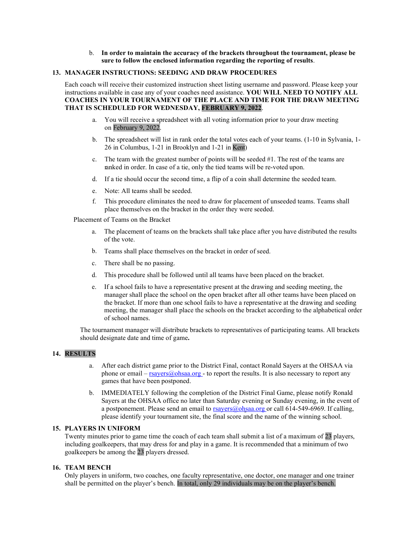#### b. In order to maintain the accuracy of the brackets throughout the tournament, please be sure to follow the enclosed information regarding the reporting of results.

#### 13. MANAGER INSTRUCTIONS: SEEDING AND DRAW PROCEDURES

Each coach will receive their customized instruction sheet listing username and password. Please keep your instructions available in case any of your coaches need assistance. YOU WILL NEED TO NOTIFY ALL COACHES IN YOUR TOURNAMENT OF THE PLACE AND TIME FOR THE DRAW MEETING THAT IS SCHEDULED FOR WEDNESDAY, FEBRUARY 9, 2022.

- a. You will receive a spreadsheet with all voting information prior to your draw meeting on February 9, 2022.
- b. The spreadsheet will list in rank order the total votes each of your teams. (1-10 in Sylvania, 1- 26 in Columbus, 1-21 in Brooklyn and 1-21 in Kent)
- c. The team with the greatest number of points will be seeded #1. The rest of the teams are ranked in order. In case of a tie, only the tied teams will be re-voted upon.
- d. If a tie should occur the second time, a flip of a coin shall determine the seeded team.
- e. Note: All teams shall be seeded.
- f. This procedure eliminates the need to draw for placement of unseeded teams. Teams shall place themselves on the bracket in the order they were seeded.

Placement of Teams on the Bracket

- a. The placement of teams on the brackets shall take place after you have distributed the results of the vote.
- b. Teams shall place themselves on the bracket in order of seed.
- c. There shall be no passing.
- d. This procedure shall be followed until all teams have been placed on the bracket.
- e. If a school fails to have a representative present at the drawing and seeding meeting, the manager shall place the school on the open bracket after all other teams have been placed on the bracket. If more than one school fails to have a representative at the drawing and seeding meeting, the manager shall place the schools on the bracket according to the alphabetical order of school names.

The tournament manager will distribute brackets to representatives of participating teams. All brackets should designate date and time of game.

#### 14. RESULTS

- a. After each district game prior to the District Final, contact Ronald Sayers at the OHSAA via phone or email –  $r = \frac{r}{3}$  rsayers (a) ohsaa.org - to report the results. It is also necessary to report any games that have been postponed.
- b. IMMEDIATELY following the completion of the District Final Game, please notify Ronald Sayers at the OHSAA office no later than Saturday evening or Sunday evening, in the event of a postponement. Please send an email to  $rsayers@obsaa.org$  or call 614-549-6969. If calling, please identify your tournament site, the final score and the name of the winning school.

## 15. PLAYERS IN UNIFORM

Twenty minutes prior to game time the coach of each team shall submit a list of a maximum of 23 players, including goalkeepers, that may dress for and play in a game. It is recommended that a minimum of two goalkeepers be among the 23 players dressed.

### 16. TEAM BENCH

Only players in uniform, two coaches, one faculty representative, one doctor, one manager and one trainer shall be permitted on the player's bench. In total, only 29 individuals may be on the player's bench.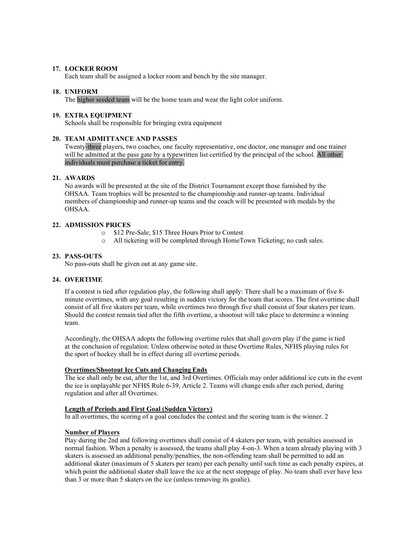## 17. LOCKER ROOM

Each team shall be assigned a locker room and bench by the site manager.

#### 18. UNIFORM

The higher seeded team will be the home team and wear the light color uniform.

#### 19. EXTRA EQUIPMENT

Schools shall be responsible for bringing extra equipment

## 20. TEAM ADMITTANCE AND PASSES

Twenty-three players, two coaches, one faculty representative, one doctor, one manager and one trainer will be admitted at the pass gate by a typewritten list certified by the principal of the school. All other individuals must purchase a ticket for entry.

#### 21. AWARDS

No awards will be presented at the site of the District Tournament except those furnished by the OHSAA. Team trophies will be presented to the championship and runner-up teams. Individual members of championship and runner-up teams and the coach will be presented with medals by the OHSAA.

#### 22. ADMISSION PRICES

- o \$12 Pre-Sale; \$15 Three Hours Prior to Contest
- o All ticketing will be completed through HomeTown Ticketing; no cash sales.

#### 23. PASS-OUTS

No pass-outs shall be given out at any game site.

#### 24. OVERTIME

If a contest is tied after regulation play, the following shall apply: There shall be a maximum of five 8 minute overtimes, with any goal resulting in sudden victory for the team that scores. The first overtime shall consist of all five skaters per team, while overtimes two through five shall consist of four skaters per team. Should the contest remain tied after the fifth overtime, a shootout will take place to determine a winning team.

Accordingly, the OHSAA adopts the following overtime rules that shall govern play if the game is tied at the conclusion of regulation. Unless otherwise noted in these Overtime Rules, NFHS playing rules for the sport of hockey shall be in effect during all overtime periods.

# Overtimes/Shootout Ice Cuts and Changing Ends

The ice shall only be cut, after the 1st, and 3rd Overtimes. Officials may order additional ice cuts in the event the ice is unplayable per NFHS Rule 6-39, Article 2. Teams will change ends after each period, during regulation and after all Overtimes.

#### Length of Periods and First Goal (Sudden Victory)

In all overtimes, the scoring of a goal concludes the contest and the scoring team is the winner. 2

#### Number of Players

Play during the 2nd and following overtimes shall consist of 4 skaters per team, with penalties assessed in normal fashion. When a penalty is assessed, the teams shall play 4-on-3. When a team already playing with 3 skaters is assessed an additional penalty/penalties, the non-offending team shall be permitted to add an additional skater (maximum of 5 skaters per team) per each penalty until such time as each penalty expires, at which point the additional skater shall leave the ice at the next stoppage of play. No team shall ever have less than 3 or more than 5 skaters on the ice (unless removing its goalie).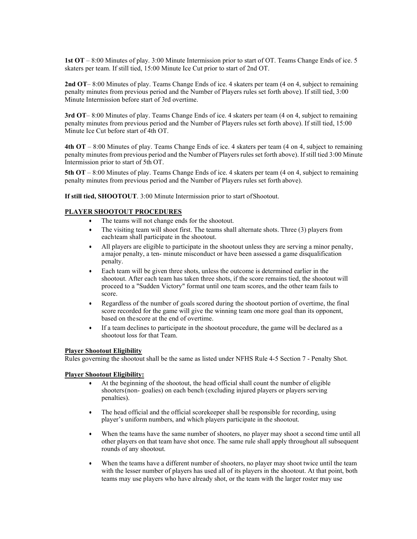1st OT – 8:00 Minutes of play. 3:00 Minute Intermission prior to start of OT. Teams Change Ends of ice. 5 skaters per team. If still tied, 15:00 Minute Ice Cut prior to start of 2nd OT.

2nd OT– 8:00 Minutes of play. Teams Change Ends of ice. 4 skaters per team (4 on 4, subject to remaining penalty minutes from previous period and the Number of Players rules set forth above). If still tied, 3:00 Minute Intermission before start of 3rd overtime.

3rd OT– 8:00 Minutes of play. Teams Change Ends of ice. 4 skaters per team (4 on 4, subject to remaining penalty minutes from previous period and the Number of Players rules set forth above). If still tied, 15:00 Minute Ice Cut before start of 4th OT.

4th OT – 8:00 Minutes of play. Teams Change Ends of ice. 4 skaters per team (4 on 4, subject to remaining penalty minutes from previous period and the Number of Players rules set forth above). If still tied 3:00 Minute Intermission prior to start of 5th OT.

5th OT – 8:00 Minutes of play. Teams Change Ends of ice. 4 skaters per team (4 on 4, subject to remaining penalty minutes from previous period and the Number of Players rules set forth above).

If still tied, SHOOTOUT. 3:00 Minute Intermission prior to start of Shootout.

### PLAYER SHOOTOUT PROCEDURES

- The teams will not change ends for the shootout.
- The visiting team will shoot first. The teams shall alternate shots. Three (3) players from each team shall participate in the shootout.
- All players are eligible to participate in the shootout unless they are serving a minor penalty, a major penalty, a ten- minute misconduct or have been assessed a game disqualification penalty.
- Each team will be given three shots, unless the outcome is determined earlier in the shootout. After each team has taken three shots, if the score remains tied, the shootout will proceed to a "Sudden Victory" format until one team scores, and the other team fails to score.
- Regardless of the number of goals scored during the shootout portion of overtime, the final score recorded for the game will give the winning team one more goal than its opponent, based on the score at the end of overtime.
- If a team declines to participate in the shootout procedure, the game will be declared as a shootout loss for that Team.

#### Player Shootout Eligibility

Rules governing the shootout shall be the same as listed under NFHS Rule 4-5 Section 7 - Penalty Shot.

#### Player Shootout Eligibility:

- At the beginning of the shootout, the head official shall count the number of eligible shooters (non- goalies) on each bench (excluding injured players or players serving penalties).
- The head official and the official scorekeeper shall be responsible for recording, using player's uniform numbers, and which players participate in the shootout.
- When the teams have the same number of shooters, no player may shoot a second time until all other players on that team have shot once. The same rule shall apply throughout all subsequent rounds of any shootout.
- When the teams have a different number of shooters, no player may shoot twice until the team with the lesser number of players has used all of its players in the shootout. At that point, both teams may use players who have already shot, or the team with the larger roster may use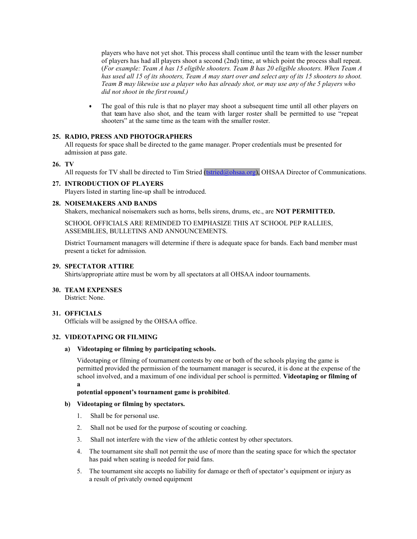players who have not yet shot. This process shall continue until the team with the lesser number of players has had all players shoot a second (2nd) time, at which point the process shall repeat. (For example: Team A has 15 eligible shooters. Team B has 20 eligible shooters. When Team A has used all 15 of its shooters, Team A may start over and select any of its 15 shooters to shoot. Team B may likewise use a player who has already shot, or may use any of the 5 players who did not shoot in the first round.)

 The goal of this rule is that no player may shoot a subsequent time until all other players on that team have also shot, and the team with larger roster shall be permitted to use "repeat shooters" at the same time as the team with the smaller roster.

## 25. RADIO, PRESS AND PHOTOGRAPHERS

All requests for space shall be directed to the game manager. Proper credentials must be presented for admission at pass gate.

## 26. TV

All requests for TV shall be directed to Tim Stried (tstried@ohsaa.org), OHSAA Director of Communications.

### 27. INTRODUCTION OF PLAYERS

Players listed in starting line-up shall be introduced.

### 28. NOISEMAKERS AND BANDS

Shakers, mechanical noisemakers such as horns, bells sirens, drums, etc., are NOT PERMITTED.

SCHOOL OFFICIALS ARE REMINDED TO EMPHASIZE THIS AT SCHOOL PEP RALLIES, ASSEMBLIES, BULLETINS AND ANNOUNCEMENTS.

District Tournament managers will determine if there is adequate space for bands. Each band member must present a ticket for admission.

## 29. SPECTATOR ATTIRE

Shirts/appropriate attire must be worn by all spectators at all OHSAA indoor tournaments.

#### 30. TEAM EXPENSES

District: None.

### 31. OFFICIALS

Officials will be assigned by the OHSAA office.

## 32. VIDEOTAPING OR FILMING

### a) Videotaping or filming by participating schools.

Videotaping or filming of tournament contests by one or both of the schools playing the game is permitted provided the permission of the tournament manager is secured, it is done at the expense of the school involved, and a maximum of one individual per school is permitted. Videotaping or filming of a

#### potential opponent's tournament game is prohibited.

#### b) Videotaping or filming by spectators.

- 1. Shall be for personal use.
- 2. Shall not be used for the purpose of scouting or coaching.
- 3. Shall not interfere with the view of the athletic contest by other spectators.
- 4. The tournament site shall not permit the use of more than the seating space for which the spectator has paid when seating is needed for paid fans.
- 5. The tournament site accepts no liability for damage or theft of spectator's equipment or injury as a result of privately owned equipment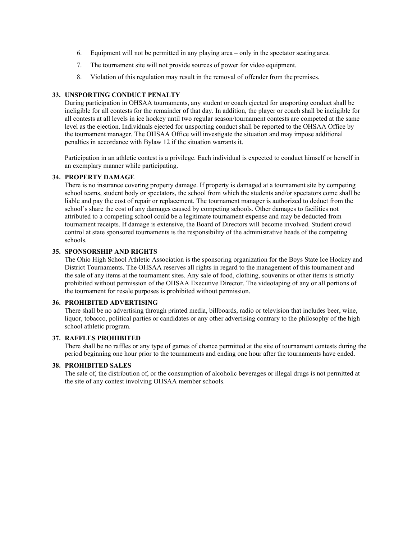- 6. Equipment will not be permitted in any playing area only in the spectator seating area.
- 7. The tournament site will not provide sources of power for video equipment.
- 8. Violation of this regulation may result in the removal of offender from the premises.

#### 33. UNSPORTING CONDUCT PENALTY

During participation in OHSAA tournaments, any student or coach ejected for unsporting conduct shall be ineligible for all contests for the remainder of that day. In addition, the player or coach shall be ineligible for all contests at all levels in ice hockey until two regular season/tournament contests are competed at the same level as the ejection. Individuals ejected for unsporting conduct shall be reported to the OHSAA Office by the tournament manager. The OHSAA Office will investigate the situation and may impose additional penalties in accordance with Bylaw 12 if the situation warrants it.

Participation in an athletic contest is a privilege. Each individual is expected to conduct himself or herself in an exemplary manner while participating.

#### 34. PROPERTY DAMAGE

There is no insurance covering property damage. If property is damaged at a tournament site by competing school teams, student body or spectators, the school from which the students and/or spectators come shall be liable and pay the cost of repair or replacement. The tournament manager is authorized to deduct from the school's share the cost of any damages caused by competing schools. Other damages to facilities not attributed to a competing school could be a legitimate tournament expense and may be deducted from tournament receipts. If damage is extensive, the Board of Directors will become involved. Student crowd control at state sponsored tournaments is the responsibility of the administrative heads of the competing schools.

#### 35. SPONSORSHIP AND RIGHTS

The Ohio High School Athletic Association is the sponsoring organization for the Boys State Ice Hockey and District Tournaments. The OHSAA reserves all rights in regard to the management of this tournament and the sale of any items at the tournament sites. Any sale of food, clothing, souvenirs or other items is strictly prohibited without permission of the OHSAA Executive Director. The videotaping of any or all portions of the tournament for resale purposes is prohibited without permission.

## 36. PROHIBITED ADVERTISING

There shall be no advertising through printed media, billboards, radio or television that includes beer, wine, liquor, tobacco, political parties or candidates or any other advertising contrary to the philosophy of the high school athletic program.

#### 37. RAFFLES PROHIBITED

There shall be no raffles or any type of games of chance permitted at the site of tournament contests during the period beginning one hour prior to the tournaments and ending one hour after the tournaments have ended.

## 38. PROHIBITED SALES

The sale of, the distribution of, or the consumption of alcoholic beverages or illegal drugs is not permitted at the site of any contest involving OHSAA member schools.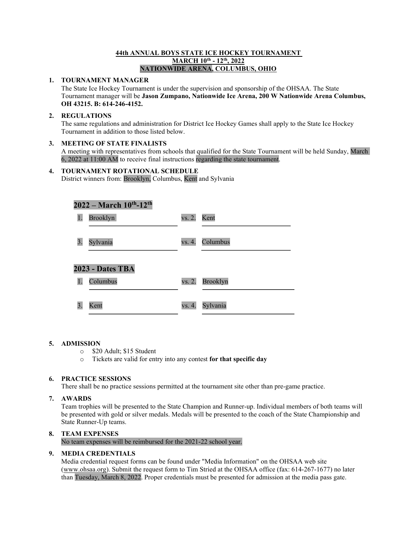## 44th ANNUAL BOYS STATE ICE HOCKEY TOURNAMENT MARCH 10<sup>th</sup> - 12<sup>th</sup>, 2022 NATIONWIDE ARENA, COLUMBUS, OHIO

## 1. TOURNAMENT MANAGER

The State Ice Hockey Tournament is under the supervision and sponsorship of the OHSAA. The State Tournament manager will be Jason Zumpano, Nationwide Ice Arena, 200 W Nationwide Arena Columbus, OH 43215. B: 614-246-4152.

## 2. REGULATIONS

The same regulations and administration for District Ice Hockey Games shall apply to the State Ice Hockey Tournament in addition to those listed below.

## 3. MEETING OF STATE FINALISTS

A meeting with representatives from schools that qualified for the State Tournament will be held Sunday, March 6, 2022 at 11:00 AM to receive final instructions regarding the state tournament.

# 4. TOURNAMENT ROTATIONAL SCHEDULE

District winners from: Brooklyn, Columbus, Kent and Sylvania

| $2022 - March 10^{th} - 12^{th}$ |                 |        |                 |  |
|----------------------------------|-----------------|--------|-----------------|--|
| 1.                               | <b>Brooklyn</b> | vs. 2. | Kent            |  |
| 3.                               | Sylvania        | vs. 4. | Columbus        |  |
| 2023 - Dates TBA                 |                 |        |                 |  |
| 1.                               | Columbus        | vs. 2. | <b>Brooklyn</b> |  |
| 3.                               | Kent            | vs. 4. | Sylvania        |  |

## 5. ADMISSION

- o \$20 Adult; \$15 Student
- o Tickets are valid for entry into any contest for that specific day

## 6. PRACTICE SESSIONS

There shall be no practice sessions permitted at the tournament site other than pre-game practice.

## 7. AWARDS

Team trophies will be presented to the State Champion and Runner-up. Individual members of both teams will be presented with gold or silver medals. Medals will be presented to the coach of the State Championship and State Runner-Up teams.

# 8. TEAM EXPENSES

No team expenses will be reimbursed for the 2021-22 school year.

## 9. MEDIA CREDENTIALS

Media credential request forms can be found under "Media Information" on the OHSAA web site (www.ohsaa.org). Submit the request form to Tim Stried at the OHSAA office (fax: 614-267-1677) no later than Tuesday, March 8, 2022. Proper credentials must be presented for admission at the media pass gate.